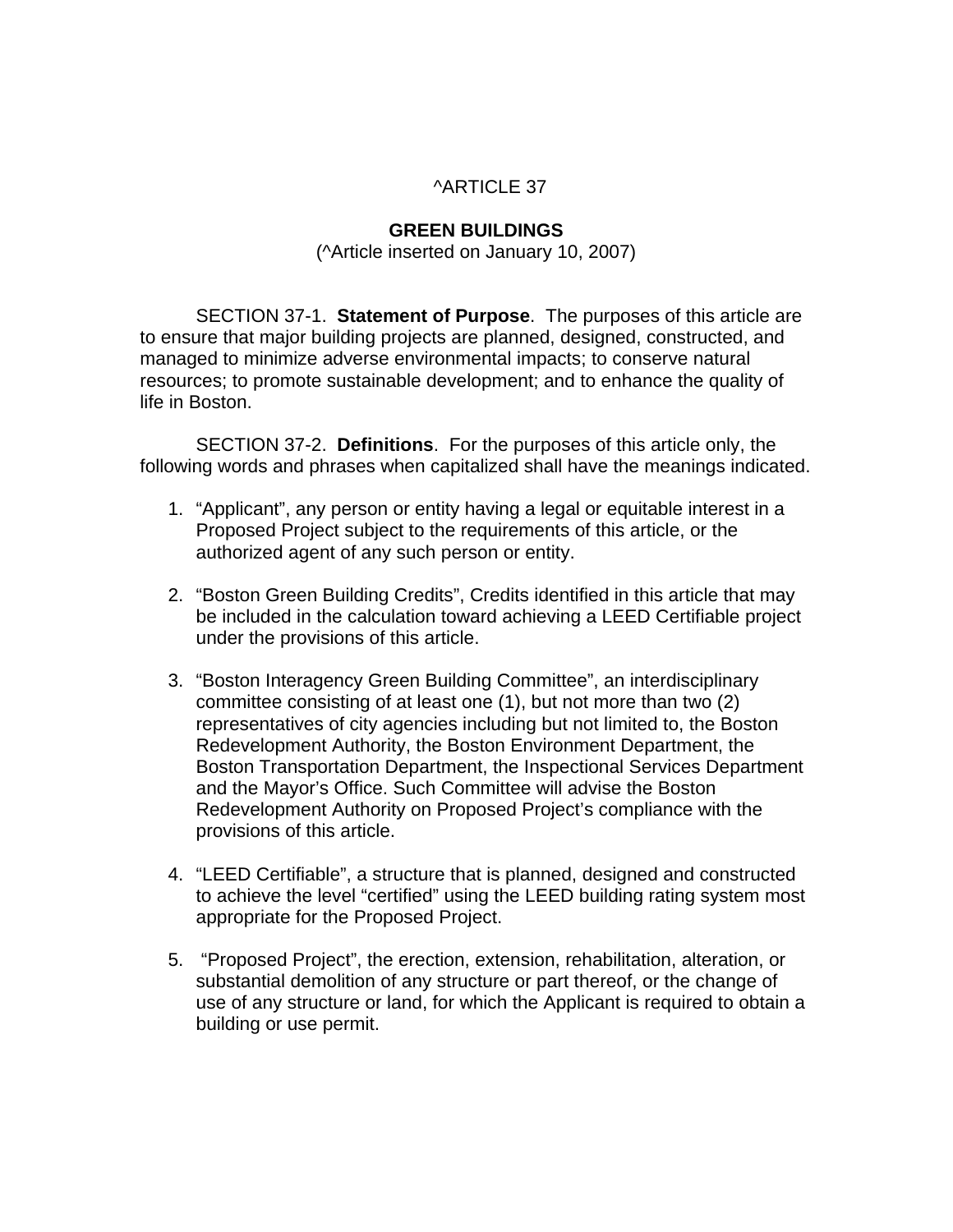#### ^ARTICLE 37

#### **GREEN BUILDINGS**

(^Article inserted on January 10, 2007)

SECTION 37-1. **Statement of Purpose**.The purposes of this article are to ensure that major building projects are planned, designed, constructed, and managed to minimize adverse environmental impacts; to conserve natural resources; to promote sustainable development; and to enhance the quality of life in Boston.

 SECTION 37-2. **Definitions**.For the purposes of this article only, the following words and phrases when capitalized shall have the meanings indicated.

- 1. "Applicant", any person or entity having a legal or equitable interest in a Proposed Project subject to the requirements of this article, or the authorized agent of any such person or entity.
- 2. "Boston Green Building Credits", Credits identified in this article that may be included in the calculation toward achieving a LEED Certifiable project under the provisions of this article.
- 3. "Boston Interagency Green Building Committee", an interdisciplinary committee consisting of at least one (1), but not more than two (2) representatives of city agencies including but not limited to, the Boston Redevelopment Authority, the Boston Environment Department, the Boston Transportation Department, the Inspectional Services Department and the Mayor's Office. Such Committee will advise the Boston Redevelopment Authority on Proposed Project's compliance with the provisions of this article.
- 4. "LEED Certifiable", a structure that is planned, designed and constructed to achieve the level "certified" using the LEED building rating system most appropriate for the Proposed Project.
- 5. "Proposed Project", the erection, extension, rehabilitation, alteration, or substantial demolition of any structure or part thereof, or the change of use of any structure or land, for which the Applicant is required to obtain a building or use permit.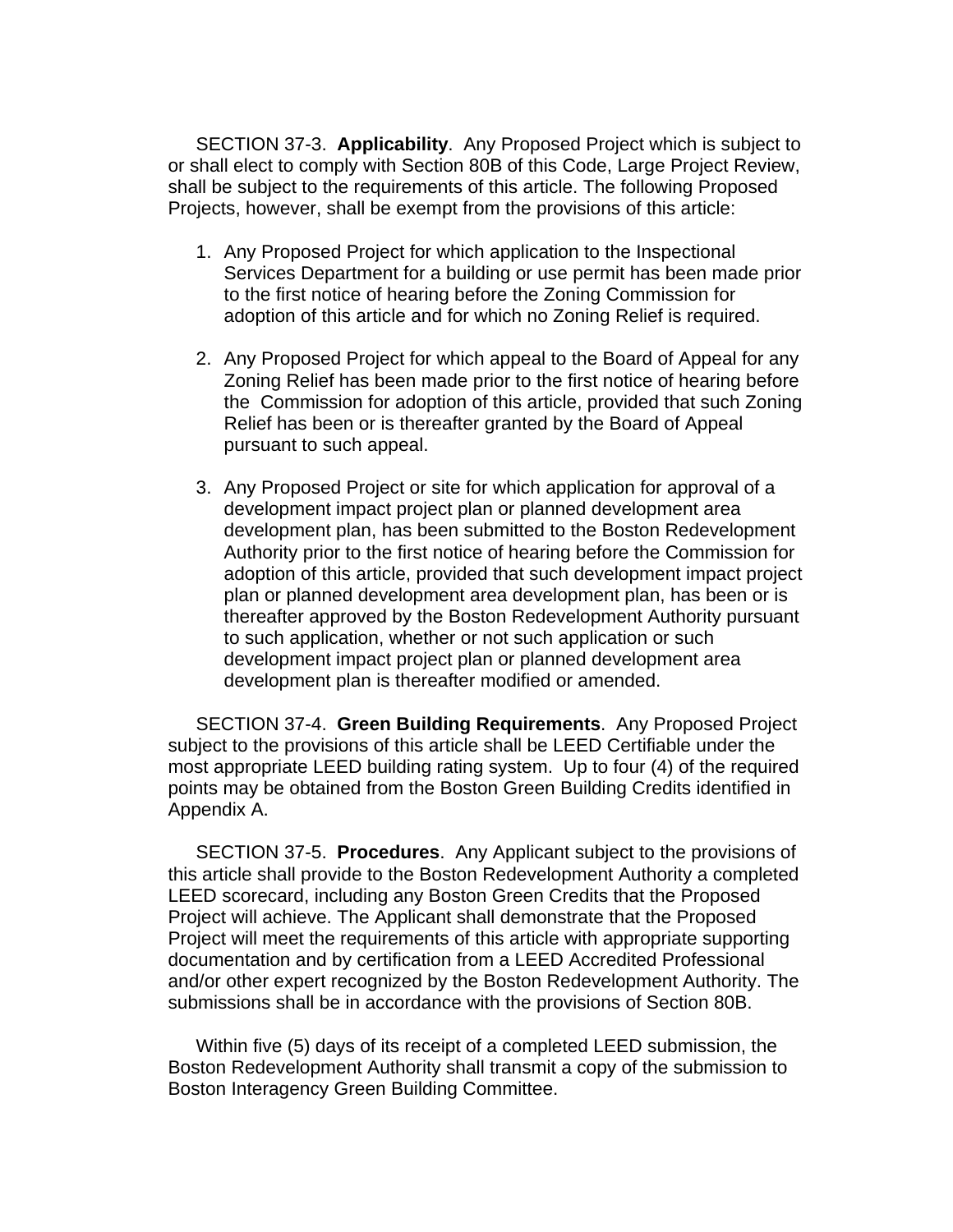SECTION 37-3. **Applicability**.Any Proposed Project which is subject to or shall elect to comply with Section 80B of this Code, Large Project Review, shall be subject to the requirements of this article. The following Proposed Projects, however, shall be exempt from the provisions of this article:

- 1. Any Proposed Project for which application to the Inspectional Services Department for a building or use permit has been made prior to the first notice of hearing before the Zoning Commission for adoption of this article and for which no Zoning Relief is required.
- 2. Any Proposed Project for which appeal to the Board of Appeal for any Zoning Relief has been made prior to the first notice of hearing before the Commission for adoption of this article, provided that such Zoning Relief has been or is thereafter granted by the Board of Appeal pursuant to such appeal.
- 3. Any Proposed Project or site for which application for approval of a development impact project plan or planned development area development plan, has been submitted to the Boston Redevelopment Authority prior to the first notice of hearing before the Commission for adoption of this article, provided that such development impact project plan or planned development area development plan, has been or is thereafter approved by the Boston Redevelopment Authority pursuant to such application, whether or not such application or such development impact project plan or planned development area development plan is thereafter modified or amended.

SECTION 37-4. **Green Building Requirements**. Any Proposed Project subject to the provisions of this article shall be LEED Certifiable under the most appropriate LEED building rating system. Up to four (4) of the required points may be obtained from the Boston Green Building Credits identified in Appendix A.

SECTION 37-5. **Procedures**. Any Applicant subject to the provisions of this article shall provide to the Boston Redevelopment Authority a completed LEED scorecard, including any Boston Green Credits that the Proposed Project will achieve. The Applicant shall demonstrate that the Proposed Project will meet the requirements of this article with appropriate supporting documentation and by certification from a LEED Accredited Professional and/or other expert recognized by the Boston Redevelopment Authority. The submissions shall be in accordance with the provisions of Section 80B.

Within five (5) days of its receipt of a completed LEED submission, the Boston Redevelopment Authority shall transmit a copy of the submission to Boston Interagency Green Building Committee.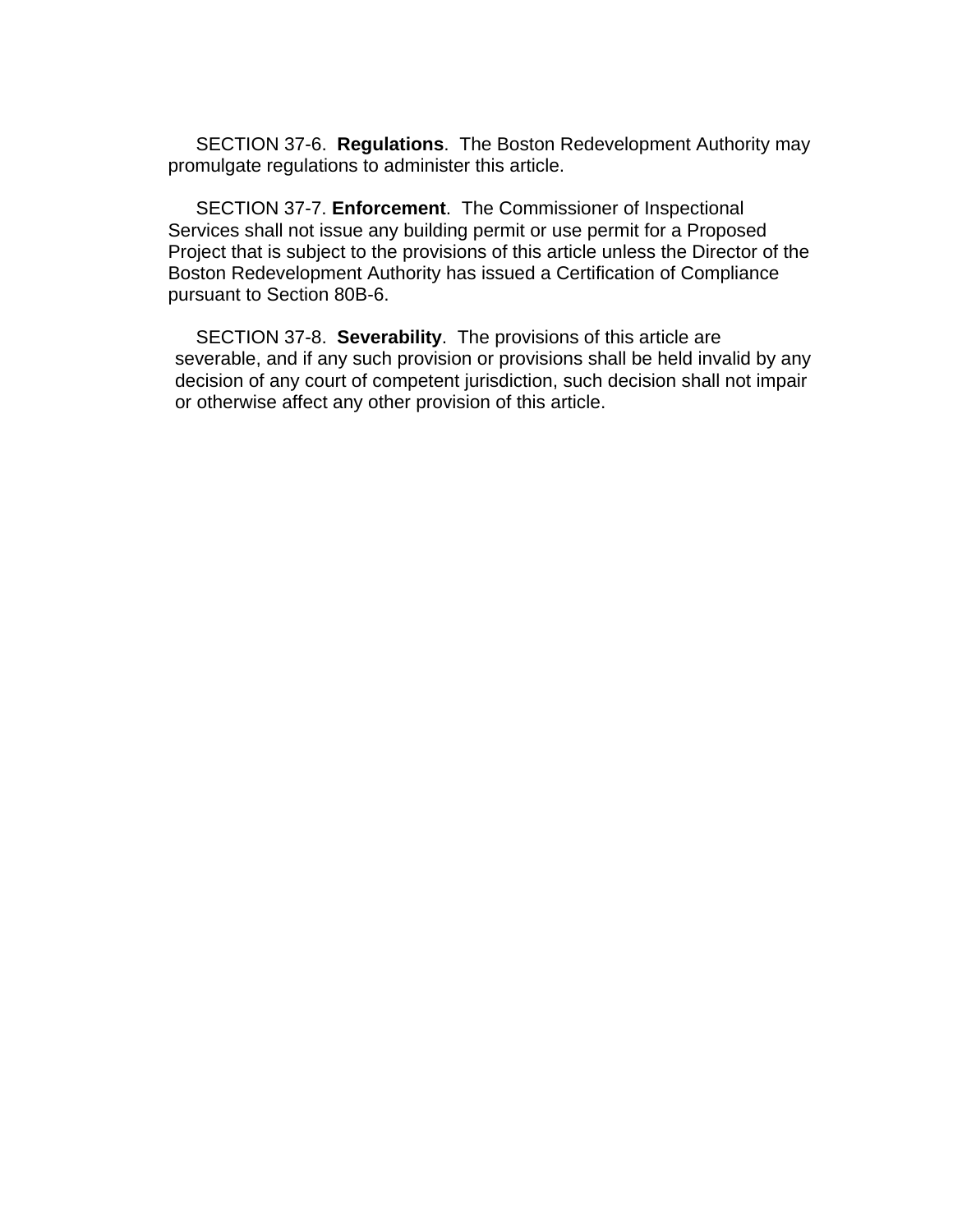SECTION 37-6. **Regulations**. The Boston Redevelopment Authority may promulgate regulations to administer this article.

SECTION 37-7. **Enforcement**.The Commissioner of Inspectional Services shall not issue any building permit or use permit for a Proposed Project that is subject to the provisions of this article unless the Director of the Boston Redevelopment Authority has issued a Certification of Compliance pursuant to Section 80B-6.

 SECTION 37-8. **Severability**. The provisions of this article are severable, and if any such provision or provisions shall be held invalid by any decision of any court of competent jurisdiction, such decision shall not impair or otherwise affect any other provision of this article.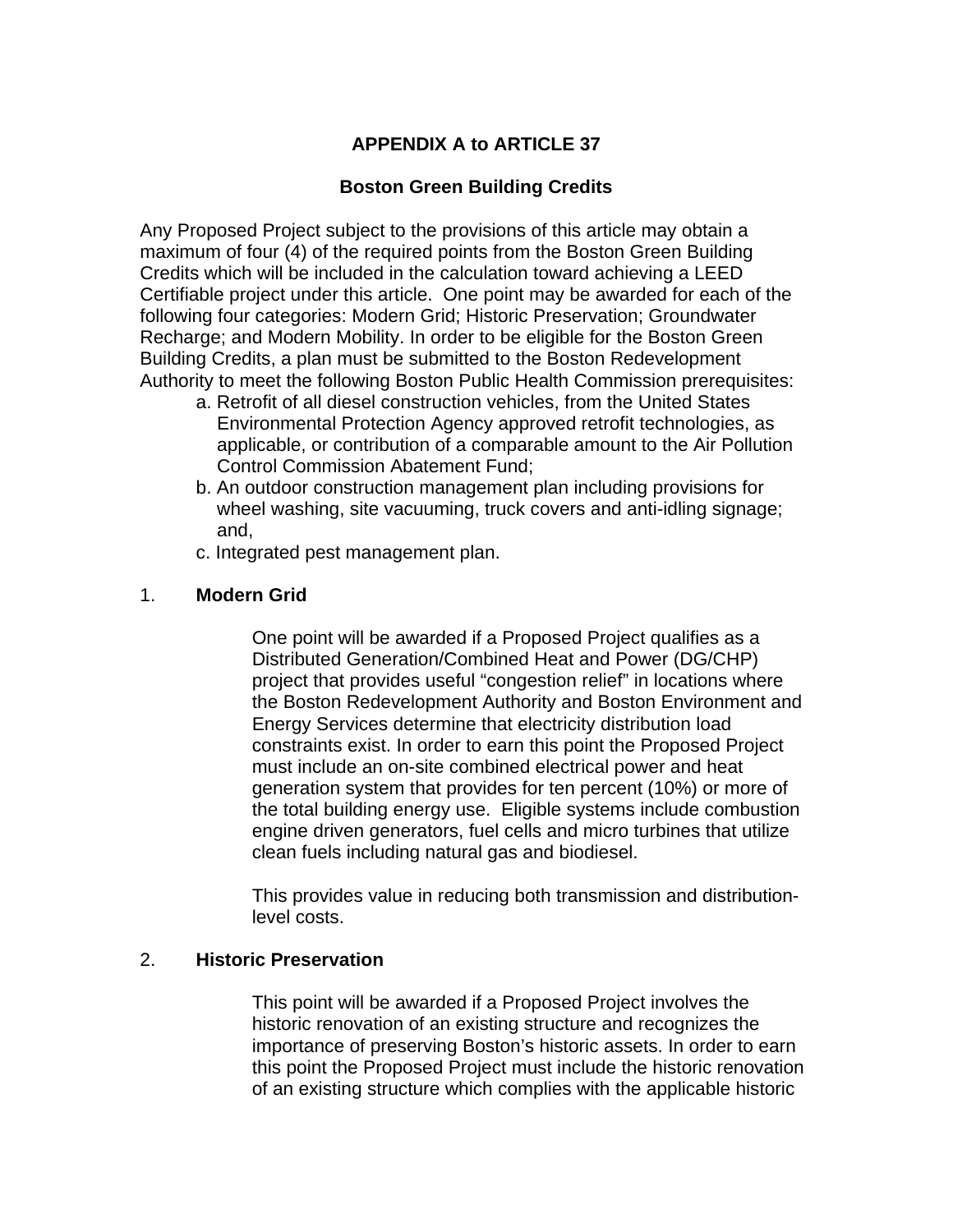# **APPENDIX A to ARTICLE 37**

### **Boston Green Building Credits**

Any Proposed Project subject to the provisions of this article may obtain a maximum of four (4) of the required points from the Boston Green Building Credits which will be included in the calculation toward achieving a LEED Certifiable project under this article. One point may be awarded for each of the following four categories: Modern Grid; Historic Preservation; Groundwater Recharge; and Modern Mobility. In order to be eligible for the Boston Green Building Credits, a plan must be submitted to the Boston Redevelopment Authority to meet the following Boston Public Health Commission prerequisites:

- a. Retrofit of all diesel construction vehicles, from the United States Environmental Protection Agency approved retrofit technologies, as applicable, or contribution of a comparable amount to the Air Pollution Control Commission Abatement Fund;
- b. An outdoor construction management plan including provisions for wheel washing, site vacuuming, truck covers and anti-idling signage; and,
- c. Integrated pest management plan.

### 1. **Modern Grid**

One point will be awarded if a Proposed Project qualifies as a Distributed Generation/Combined Heat and Power (DG/CHP) project that provides useful "congestion relief" in locations where the Boston Redevelopment Authority and Boston Environment and Energy Services determine that electricity distribution load constraints exist. In order to earn this point the Proposed Project must include an on-site combined electrical power and heat generation system that provides for ten percent (10%) or more of the total building energy use. Eligible systems include combustion engine driven generators, fuel cells and micro turbines that utilize clean fuels including natural gas and biodiesel.

This provides value in reducing both transmission and distributionlevel costs.

### 2. **Historic Preservation**

 This point will be awarded if a Proposed Project involves the historic renovation of an existing structure and recognizes the importance of preserving Boston's historic assets. In order to earn this point the Proposed Project must include the historic renovation of an existing structure which complies with the applicable historic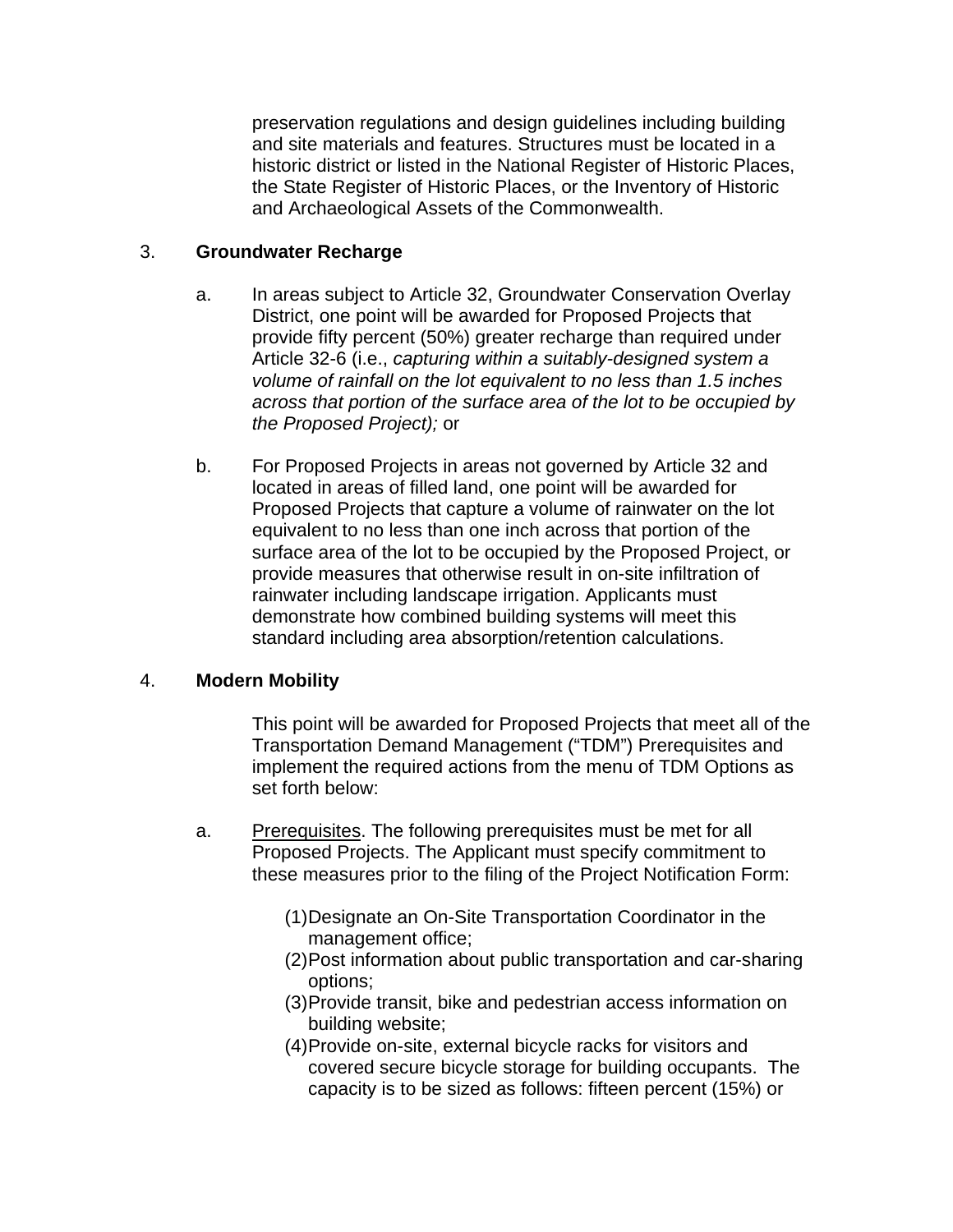preservation regulations and design guidelines including building and site materials and features. Structures must be located in a historic district or listed in the National Register of Historic Places, the State Register of Historic Places, or the Inventory of Historic and Archaeological Assets of the Commonwealth.

# 3. **Groundwater Recharge**

- a. In areas subject to Article 32, Groundwater Conservation Overlay District, one point will be awarded for Proposed Projects that provide fifty percent (50%) greater recharge than required under Article 32-6 (i.e., *capturing within a suitably-designed system a volume of rainfall on the lot equivalent to no less than 1.5 inches across that portion of the surface area of the lot to be occupied by the Proposed Project);* or
- b. For Proposed Projects in areas not governed by Article 32 and located in areas of filled land, one point will be awarded for Proposed Projects that capture a volume of rainwater on the lot equivalent to no less than one inch across that portion of the surface area of the lot to be occupied by the Proposed Project, or provide measures that otherwise result in on-site infiltration of rainwater including landscape irrigation. Applicants must demonstrate how combined building systems will meet this standard including area absorption/retention calculations.

### 4. **Modern Mobility**

This point will be awarded for Proposed Projects that meet all of the Transportation Demand Management ("TDM") Prerequisites and implement the required actions from the menu of TDM Options as set forth below:

- a. Prerequisites. The following prerequisites must be met for all Proposed Projects. The Applicant must specify commitment to these measures prior to the filing of the Project Notification Form:
	- (1) Designate an On-Site Transportation Coordinator in the management office;
	- (2) Post information about public transportation and car-sharing options;
	- (3) Provide transit, bike and pedestrian access information on building website;
	- (4) Provide on-site, external bicycle racks for visitors and covered secure bicycle storage for building occupants. The capacity is to be sized as follows: fifteen percent (15%) or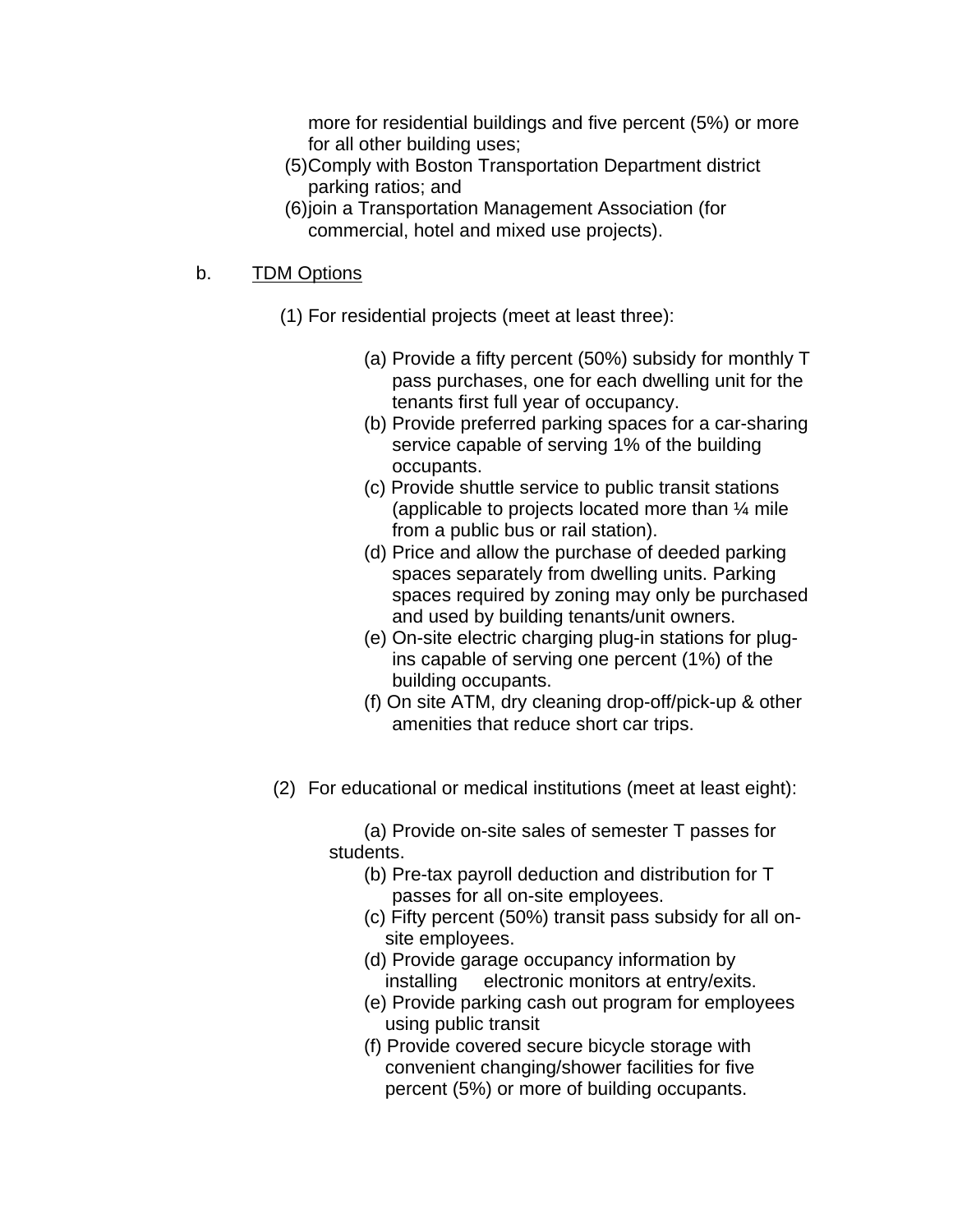more for residential buildings and five percent (5%) or more for all other building uses;

- (5) Comply with Boston Transportation Department district parking ratios; and
- (6) join a Transportation Management Association (for commercial, hotel and mixed use projects).

# b. TDM Options

- (1) For residential projects (meet at least three):
	- (a) Provide a fifty percent (50%) subsidy for monthly T pass purchases, one for each dwelling unit for the tenants first full year of occupancy.
	- (b) Provide preferred parking spaces for a car-sharing service capable of serving 1% of the building occupants.
	- (c) Provide shuttle service to public transit stations (applicable to projects located more than ¼ mile from a public bus or rail station).
	- (d) Price and allow the purchase of deeded parking spaces separately from dwelling units. Parking spaces required by zoning may only be purchased and used by building tenants/unit owners.
	- (e) On-site electric charging plug-in stations for plugins capable of serving one percent (1%) of the building occupants.
	- (f) On site ATM, dry cleaning drop-off/pick-up & other amenities that reduce short car trips.
- (2) For educational or medical institutions (meet at least eight):

(a) Provide on-site sales of semester T passes for students.

- (b) Pre-tax payroll deduction and distribution for T passes for all on-site employees.
- (c) Fifty percent (50%) transit pass subsidy for all onsite employees.
- (d) Provide garage occupancy information by installing electronic monitors at entry/exits.
- (e) Provide parking cash out program for employees using public transit
- (f) Provide covered secure bicycle storage with convenient changing/shower facilities for five percent (5%) or more of building occupants.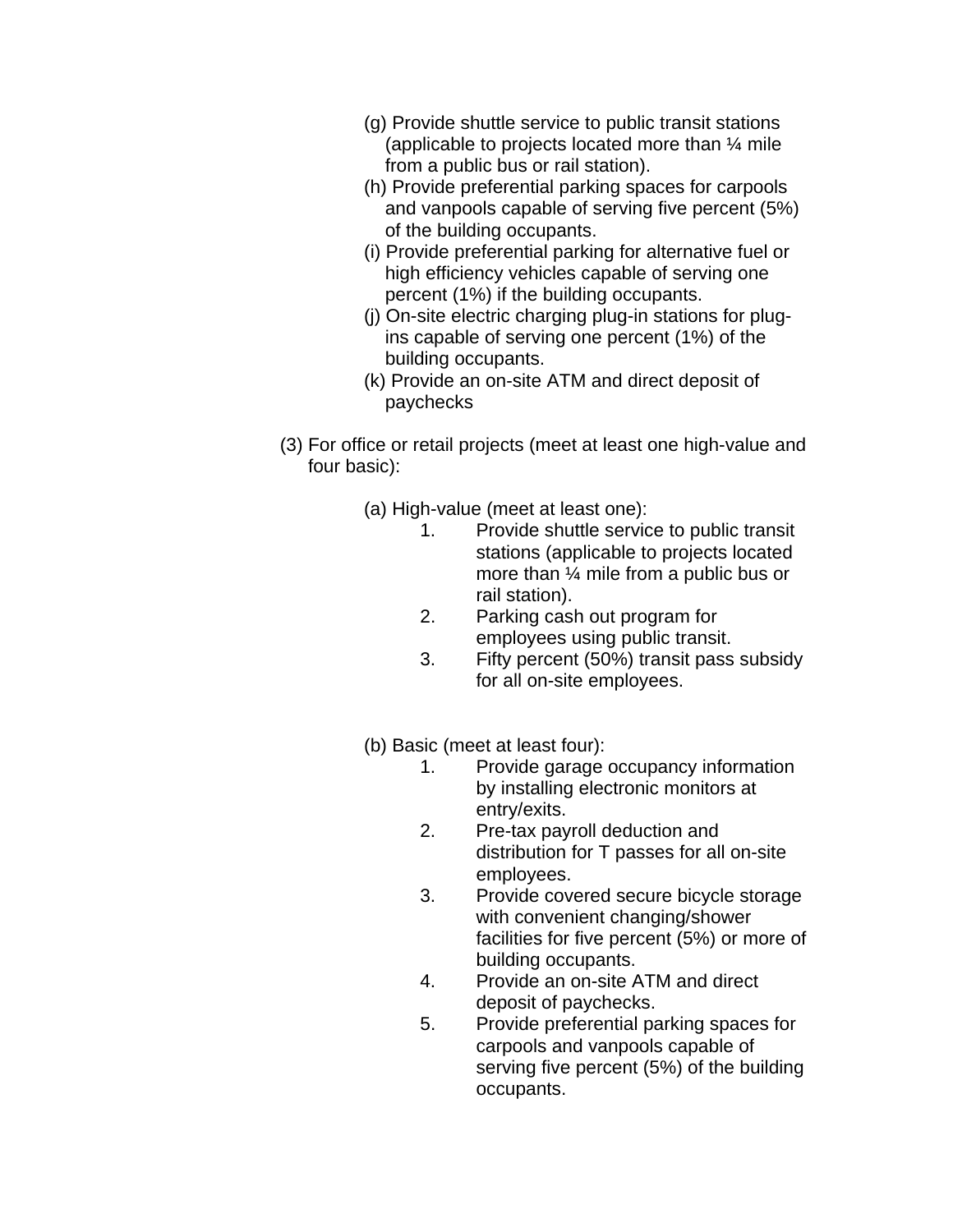- (g) Provide shuttle service to public transit stations (applicable to projects located more than ¼ mile from a public bus or rail station).
- (h) Provide preferential parking spaces for carpools and vanpools capable of serving five percent (5%) of the building occupants.
- (i) Provide preferential parking for alternative fuel or high efficiency vehicles capable of serving one percent (1%) if the building occupants.
- (j) On-site electric charging plug-in stations for plugins capable of serving one percent (1%) of the building occupants.
- (k) Provide an on-site ATM and direct deposit of paychecks
- (3) For office or retail projects (meet at least one high-value and four basic):
	- (a) High-value (meet at least one):
		- 1. Provide shuttle service to public transit stations (applicable to projects located more than ¼ mile from a public bus or rail station).
		- 2. Parking cash out program for employees using public transit.
		- 3. Fifty percent (50%) transit pass subsidy for all on-site employees.
	- (b) Basic (meet at least four):
		- 1. Provide garage occupancy information by installing electronic monitors at entry/exits.
		- 2. Pre-tax payroll deduction and distribution for T passes for all on-site employees.
		- 3. Provide covered secure bicycle storage with convenient changing/shower facilities for five percent (5%) or more of building occupants.
		- 4. Provide an on-site ATM and direct deposit of paychecks.
		- 5. Provide preferential parking spaces for carpools and vanpools capable of serving five percent (5%) of the building occupants.